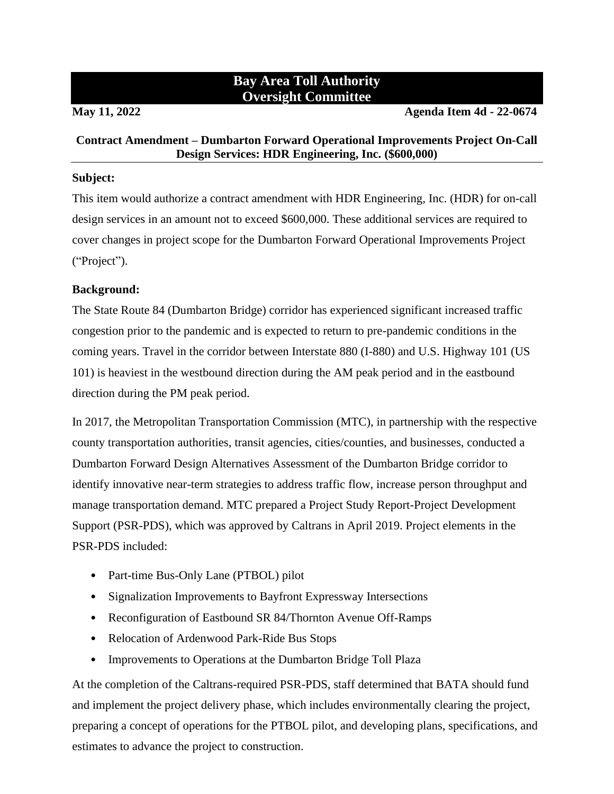# **Bay Area Toll Authority Oversight Committee**

**May 11, 2022 Agenda Item 4d - 22-0674**

### **Contract Amendment – Dumbarton Forward Operational Improvements Project On-Call Design Services: HDR Engineering, Inc. (\$600,000)**

#### **Subject:**

This item would authorize a contract amendment with HDR Engineering, Inc. (HDR) for on-call design services in an amount not to exceed \$600,000. These additional services are required to cover changes in project scope for the Dumbarton Forward Operational Improvements Project ("Project").

# **Background:**

The State Route 84 (Dumbarton Bridge) corridor has experienced significant increased traffic congestion prior to the pandemic and is expected to return to pre-pandemic conditions in the coming years. Travel in the corridor between Interstate 880 (I-880) and U.S. Highway 101 (US 101) is heaviest in the westbound direction during the AM peak period and in the eastbound direction during the PM peak period.

In 2017, the Metropolitan Transportation Commission (MTC), in partnership with the respective county transportation authorities, transit agencies, cities/counties, and businesses, conducted a Dumbarton Forward Design Alternatives Assessment of the Dumbarton Bridge corridor to identify innovative near-term strategies to address traffic flow, increase person throughput and manage transportation demand. MTC prepared a Project Study Report-Project Development Support (PSR-PDS), which was approved by Caltrans in April 2019. Project elements in the PSR-PDS included:

- Part-time Bus-Only Lane (PTBOL) pilot
- Signalization Improvements to Bayfront Expressway Intersections
- Reconfiguration of Eastbound SR 84/Thornton Avenue Off-Ramps
- Relocation of Ardenwood Park-Ride Bus Stops
- Improvements to Operations at the Dumbarton Bridge Toll Plaza

At the completion of the Caltrans-required PSR-PDS, staff determined that BATA should fund and implement the project delivery phase, which includes environmentally clearing the project, preparing a concept of operations for the PTBOL pilot, and developing plans, specifications, and estimates to advance the project to construction.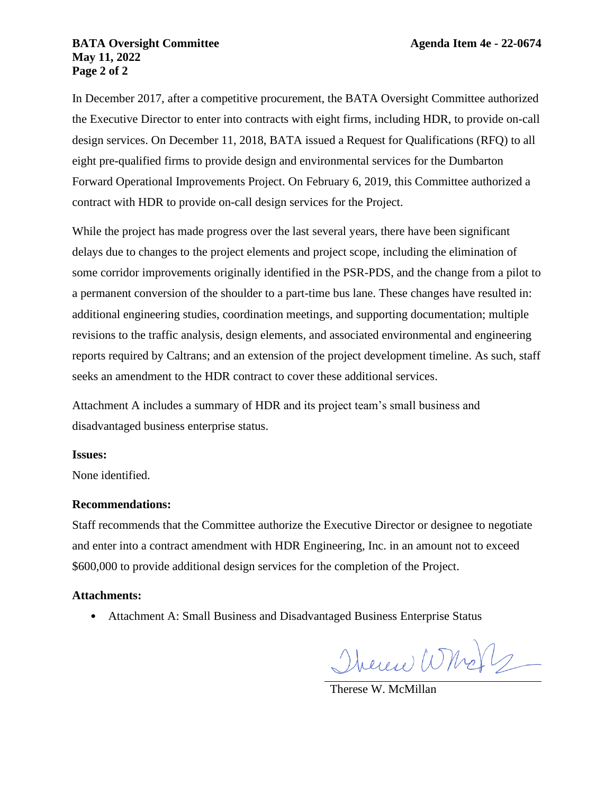#### **BATA Oversight Committee <b>Agenda Item 4e** - 22-0674 **May 11, 2022 Page 2 of 2**

In December 2017, after a competitive procurement, the BATA Oversight Committee authorized the Executive Director to enter into contracts with eight firms, including HDR, to provide on-call design services. On December 11, 2018, BATA issued a Request for Qualifications (RFQ) to all eight pre-qualified firms to provide design and environmental services for the Dumbarton Forward Operational Improvements Project. On February 6, 2019, this Committee authorized a contract with HDR to provide on-call design services for the Project.

While the project has made progress over the last several years, there have been significant delays due to changes to the project elements and project scope, including the elimination of some corridor improvements originally identified in the PSR-PDS, and the change from a pilot to a permanent conversion of the shoulder to a part-time bus lane. These changes have resulted in: additional engineering studies, coordination meetings, and supporting documentation; multiple revisions to the traffic analysis, design elements, and associated environmental and engineering reports required by Caltrans; and an extension of the project development timeline. As such, staff seeks an amendment to the HDR contract to cover these additional services.

Attachment A includes a summary of HDR and its project team's small business and disadvantaged business enterprise status.

#### **Issues:**

None identified.

# **Recommendations:**

Staff recommends that the Committee authorize the Executive Director or designee to negotiate and enter into a contract amendment with HDR Engineering, Inc. in an amount not to exceed \$600,000 to provide additional design services for the completion of the Project.

# **Attachments:**

• Attachment A: Small Business and Disadvantaged Business Enterprise Status

Therew Wholz

Therese W. McMillan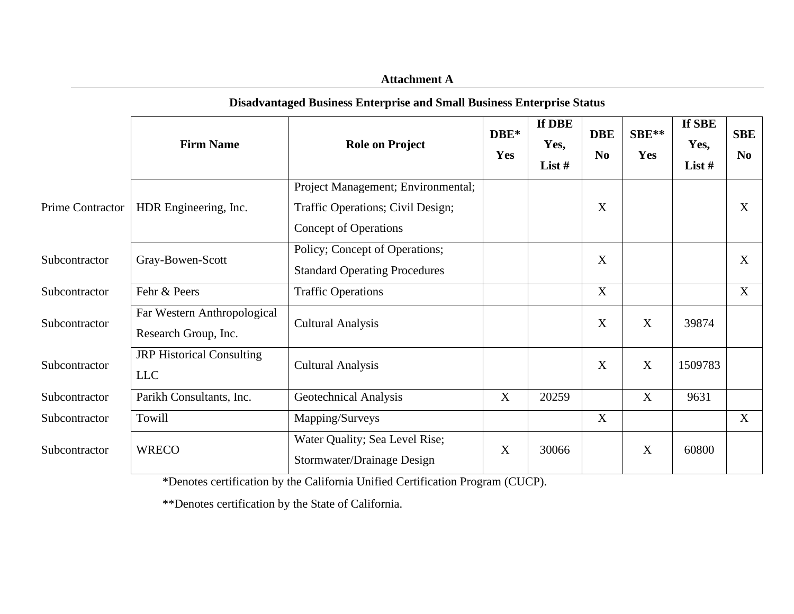| Disadvantaged Business Enterprise and Small Business Enterprise Status |                                                     |                                                                                                         |                         |                          |                              |              |                            |                              |  |
|------------------------------------------------------------------------|-----------------------------------------------------|---------------------------------------------------------------------------------------------------------|-------------------------|--------------------------|------------------------------|--------------|----------------------------|------------------------------|--|
|                                                                        | <b>Firm Name</b>                                    | <b>Role on Project</b>                                                                                  | $\mathbf{DBE}^*$<br>Yes | If DBE<br>Yes,<br>List # | <b>DBE</b><br>N <sub>o</sub> | SBE**<br>Yes | If SBE<br>Yes,<br>List $#$ | <b>SBE</b><br>N <sub>0</sub> |  |
| Prime Contractor                                                       | HDR Engineering, Inc.                               | Project Management; Environmental;<br>Traffic Operations; Civil Design;<br><b>Concept of Operations</b> |                         |                          | X                            |              |                            | X                            |  |
| Subcontractor                                                          | Gray-Bowen-Scott                                    | Policy; Concept of Operations;<br><b>Standard Operating Procedures</b>                                  |                         |                          | X                            |              |                            | X                            |  |
| Subcontractor                                                          | Fehr & Peers                                        | <b>Traffic Operations</b>                                                                               |                         |                          | $\mathbf X$                  |              |                            | X                            |  |
| Subcontractor                                                          | Far Western Anthropological<br>Research Group, Inc. | <b>Cultural Analysis</b>                                                                                |                         |                          | X                            | X            | 39874                      |                              |  |
| Subcontractor                                                          | <b>JRP</b> Historical Consulting<br><b>LLC</b>      | <b>Cultural Analysis</b>                                                                                |                         |                          | X                            | X            | 1509783                    |                              |  |
| Subcontractor                                                          | Parikh Consultants, Inc.                            | <b>Geotechnical Analysis</b>                                                                            | X                       | 20259                    |                              | X            | 9631                       |                              |  |
| Subcontractor                                                          | Towill                                              | Mapping/Surveys                                                                                         |                         |                          | X                            |              |                            | X                            |  |
| Subcontractor                                                          | <b>WRECO</b>                                        | Water Quality; Sea Level Rise;<br>Stormwater/Drainage Design                                            | $\mathbf X$             | 30066                    |                              | X            | 60800                      |                              |  |

**Disadvantaged Business Enterprise and Small Business Enterprise Status**

**Attachment A**

\*Denotes certification by the California Unified Certification Program (CUCP).

\*\*Denotes certification by the State of California.